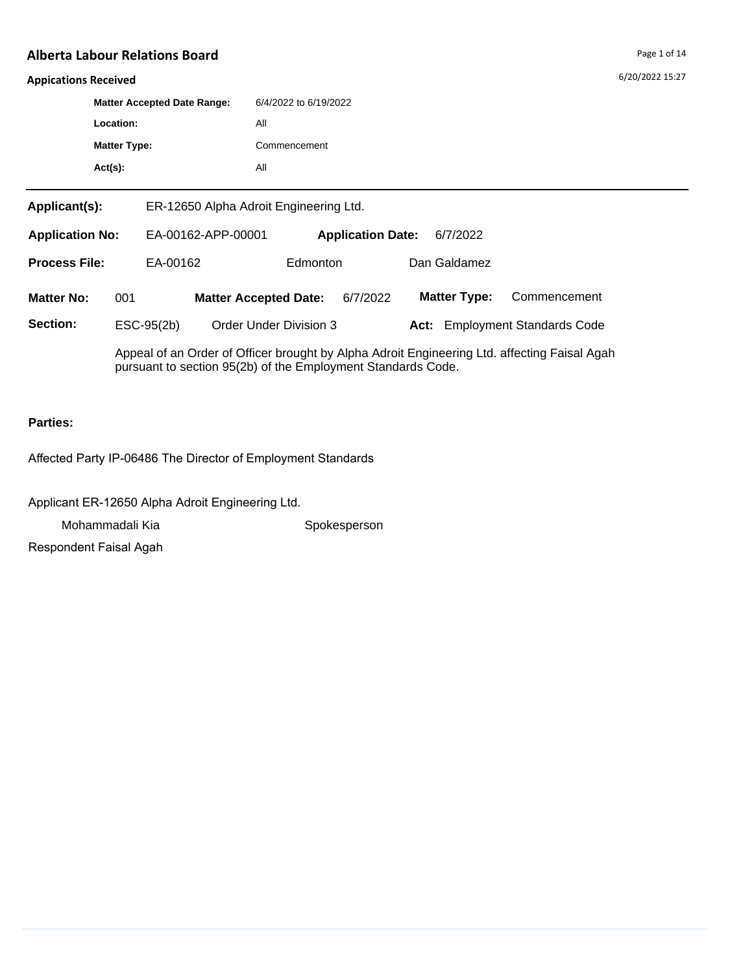#### **Appications Received**

|                        | <b>Matter Accepted Date Range:</b> |                                        |                       |                          |  |              |  |  |
|------------------------|------------------------------------|----------------------------------------|-----------------------|--------------------------|--|--------------|--|--|
|                        |                                    |                                        | 6/4/2022 to 6/19/2022 |                          |  |              |  |  |
|                        | Location:                          |                                        | All                   |                          |  |              |  |  |
|                        | <b>Matter Type:</b>                |                                        | Commencement          |                          |  |              |  |  |
|                        | $Act(s)$ :                         |                                        | All                   |                          |  |              |  |  |
| Applicant(s):          |                                    | ER-12650 Alpha Adroit Engineering Ltd. |                       |                          |  |              |  |  |
| <b>Application No:</b> |                                    | EA-00162-APP-00001                     |                       | <b>Application Date:</b> |  | 6/7/2022     |  |  |
| <b>Process File:</b>   |                                    | EA-00162                               |                       | Edmonton                 |  | Dan Galdamez |  |  |

**Matter No: 001 Matter Accepted Date:** 6/7/2022 **Matter Type:** Commencement

**Section:** ESC-95(2b) Order Under Division 3 **Act:** Employment Standards Code

Appeal of an Order of Officer brought by Alpha Adroit Engineering Ltd. affecting Faisal Agah pursuant to section 95(2b) of the Employment Standards Code.

## **Parties:**

Affected Party IP-06486 The Director of Employment Standards

Applicant ER-12650 Alpha Adroit Engineering Ltd.

Mohammadali Kia Spokesperson

Respondent Faisal Agah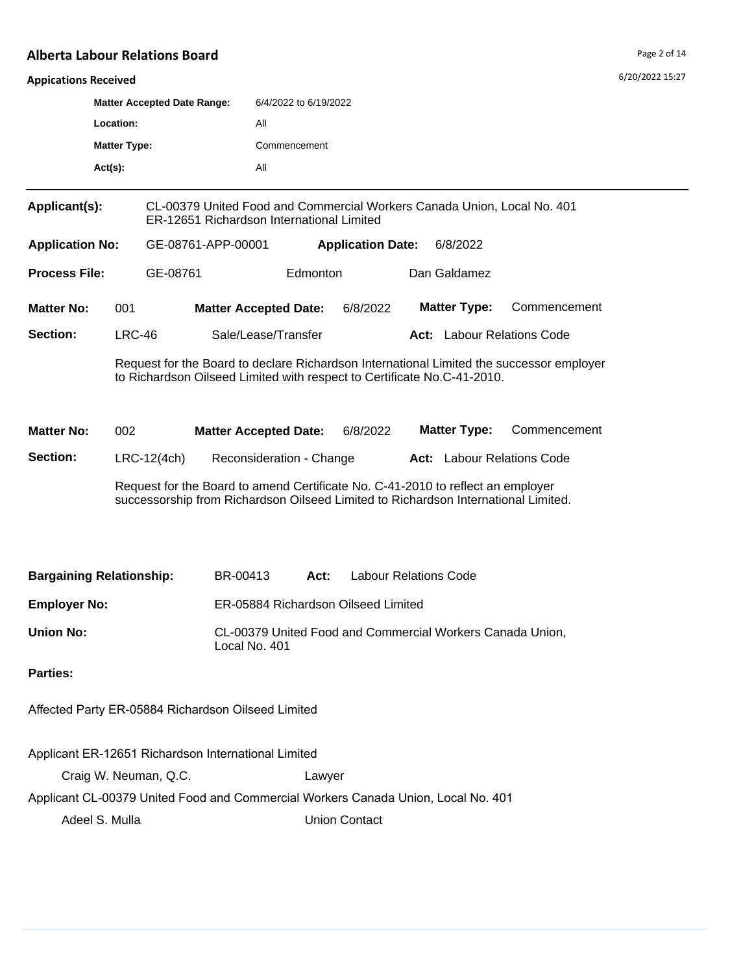#### **Appications Received**

| <b>Appications Received</b>                     |                       |                                                     |                                                                            |                                                                                   |                                                                                                                                                                       |                                                                                          | 0/20/2022 13.27 |  |  |
|-------------------------------------------------|-----------------------|-----------------------------------------------------|----------------------------------------------------------------------------|-----------------------------------------------------------------------------------|-----------------------------------------------------------------------------------------------------------------------------------------------------------------------|------------------------------------------------------------------------------------------|-----------------|--|--|
| <b>Matter Accepted Date Range:</b><br>Location: |                       |                                                     | 6/4/2022 to 6/19/2022                                                      |                                                                                   |                                                                                                                                                                       |                                                                                          |                 |  |  |
|                                                 |                       |                                                     | All                                                                        |                                                                                   |                                                                                                                                                                       |                                                                                          |                 |  |  |
|                                                 | <b>Matter Type:</b>   |                                                     | Commencement                                                               |                                                                                   |                                                                                                                                                                       |                                                                                          |                 |  |  |
|                                                 | $Act(s)$ :            |                                                     | All                                                                        |                                                                                   |                                                                                                                                                                       |                                                                                          |                 |  |  |
| Applicant(s):                                   |                       | ER-12651 Richardson International Limited           |                                                                            |                                                                                   | CL-00379 United Food and Commercial Workers Canada Union, Local No. 401                                                                                               |                                                                                          |                 |  |  |
| <b>Application No:</b>                          |                       | GE-08761-APP-00001                                  |                                                                            | <b>Application Date:</b>                                                          | 6/8/2022                                                                                                                                                              |                                                                                          |                 |  |  |
| <b>Process File:</b>                            |                       | GE-08761                                            | Edmonton                                                                   |                                                                                   | Dan Galdamez                                                                                                                                                          |                                                                                          |                 |  |  |
| <b>Matter No:</b>                               | 001                   |                                                     | <b>Matter Accepted Date:</b>                                               | 6/8/2022                                                                          | <b>Matter Type:</b>                                                                                                                                                   | Commencement                                                                             |                 |  |  |
| Section:                                        | $LRC-46$              |                                                     | Sale/Lease/Transfer                                                        |                                                                                   | <b>Act:</b> Labour Relations Code                                                                                                                                     |                                                                                          |                 |  |  |
|                                                 |                       |                                                     |                                                                            |                                                                                   | to Richardson Oilseed Limited with respect to Certificate No.C-41-2010.                                                                                               | Request for the Board to declare Richardson International Limited the successor employer |                 |  |  |
| <b>Matter No:</b>                               | 002                   |                                                     | <b>Matter Accepted Date:</b>                                               | 6/8/2022                                                                          | <b>Matter Type:</b>                                                                                                                                                   | Commencement                                                                             |                 |  |  |
| Section:                                        | $LRC-12(4ch)$         |                                                     | Reconsideration - Change                                                   |                                                                                   | <b>Act:</b> Labour Relations Code                                                                                                                                     |                                                                                          |                 |  |  |
|                                                 |                       |                                                     |                                                                            |                                                                                   | Request for the Board to amend Certificate No. C-41-2010 to reflect an employer<br>successorship from Richardson Oilseed Limited to Richardson International Limited. |                                                                                          |                 |  |  |
| <b>Bargaining Relationship:</b>                 |                       | BR-00413                                            | Act:                                                                       |                                                                                   | <b>Labour Relations Code</b>                                                                                                                                          |                                                                                          |                 |  |  |
| <b>Employer No:</b>                             |                       |                                                     | ER-05884 Richardson Oilseed Limited                                        |                                                                                   |                                                                                                                                                                       |                                                                                          |                 |  |  |
| <b>Union No:</b>                                |                       |                                                     | CL-00379 United Food and Commercial Workers Canada Union,<br>Local No. 401 |                                                                                   |                                                                                                                                                                       |                                                                                          |                 |  |  |
| <b>Parties:</b>                                 |                       |                                                     |                                                                            |                                                                                   |                                                                                                                                                                       |                                                                                          |                 |  |  |
|                                                 |                       | Affected Party ER-05884 Richardson Oilseed Limited  |                                                                            |                                                                                   |                                                                                                                                                                       |                                                                                          |                 |  |  |
|                                                 |                       | Applicant ER-12651 Richardson International Limited |                                                                            |                                                                                   |                                                                                                                                                                       |                                                                                          |                 |  |  |
|                                                 | Craig W. Neuman, Q.C. |                                                     | Lawyer                                                                     |                                                                                   |                                                                                                                                                                       |                                                                                          |                 |  |  |
|                                                 |                       |                                                     |                                                                            | Applicant CL-00379 United Food and Commercial Workers Canada Union, Local No. 401 |                                                                                                                                                                       |                                                                                          |                 |  |  |
| Adeel S. Mulla                                  |                       |                                                     |                                                                            | <b>Union Contact</b>                                                              |                                                                                                                                                                       |                                                                                          |                 |  |  |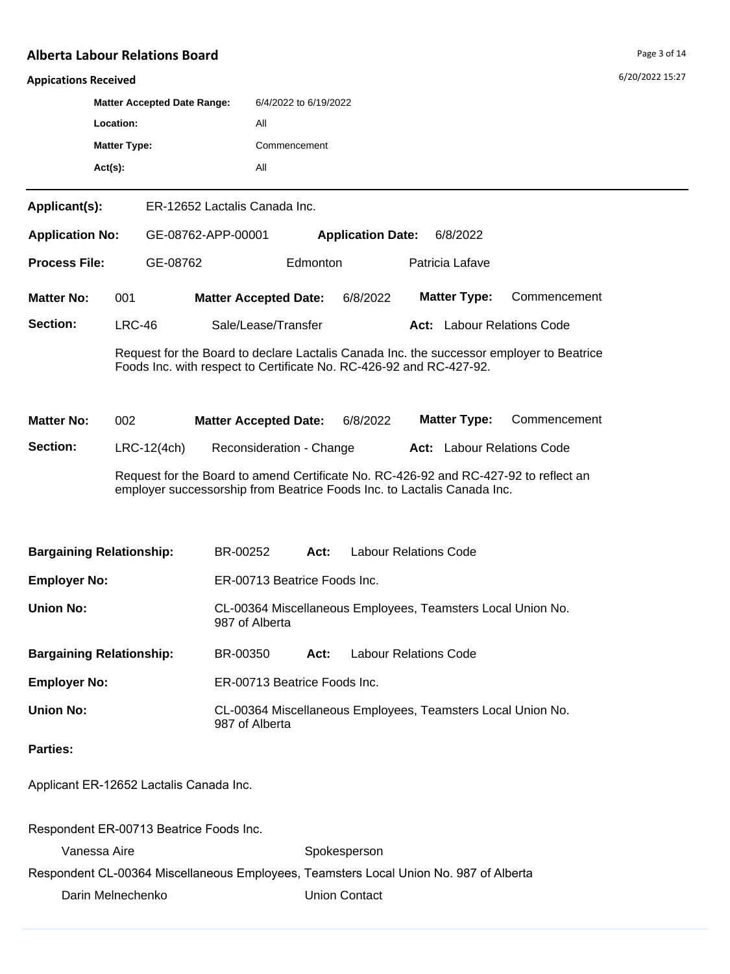6/20/2022 15:27

#### **Appications Received**

|                        | <b>Matter Accepted Date Range:</b> |                               | 6/4/2022 to 6/19/2022 |                          |          |  |  |
|------------------------|------------------------------------|-------------------------------|-----------------------|--------------------------|----------|--|--|
|                        | Location:                          |                               | All                   |                          |          |  |  |
| <b>Matter Type:</b>    |                                    | Commencement                  |                       |                          |          |  |  |
|                        | $Act(s)$ :                         |                               | All                   |                          |          |  |  |
| Applicant(s):          |                                    | ER-12652 Lactalis Canada Inc. |                       |                          |          |  |  |
| <b>Application No:</b> |                                    | GE-08762-APP-00001            |                       | <b>Application Date:</b> | 6/8/2022 |  |  |

**Matter No: 001** Section: LRC-46 Sale/Lease/Transfer **Act:** Labour Relations Code **Matter Accepted Date:** 6/8/2022 **Matter Type:** Commencement

**Process File:** GE-08762 Edmonton Patricia Lafave

Request for the Board to declare Lactalis Canada Inc. the successor employer to Beatrice Foods Inc. with respect to Certificate No. RC-426-92 and RC-427-92.

**Matter No: 002** Section: LRC-12(4ch) Reconsideration - Change **Act:** Labour Relations Code Request for the Board to amend Certificate No. RC-426-92 and RC-427-92 to reflect an employer successorship from Beatrice Foods Inc. to Lactalis Canada Inc. **Matter Accepted Date:** 6/8/2022 **Matter Type:** Commencement

| <b>Bargaining Relationship:</b>         | BR-00252                                                                      | Act: | Labour Relations Code |  |  |
|-----------------------------------------|-------------------------------------------------------------------------------|------|-----------------------|--|--|
| <b>Employer No:</b>                     | ER-00713 Beatrice Foods Inc.                                                  |      |                       |  |  |
| Union No:                               | CL-00364 Miscellaneous Employees, Teamsters Local Union No.<br>987 of Alberta |      |                       |  |  |
| <b>Bargaining Relationship:</b>         | BR-00350                                                                      | Act: | Labour Relations Code |  |  |
| <b>Employer No:</b>                     | ER-00713 Beatrice Foods Inc.                                                  |      |                       |  |  |
| Union No:                               | CL-00364 Miscellaneous Employees, Teamsters Local Union No.<br>987 of Alberta |      |                       |  |  |
| <b>Parties:</b>                         |                                                                               |      |                       |  |  |
| Applicant ER-12652 Lactalis Canada Inc. |                                                                               |      |                       |  |  |

Vanessa Aire **Spokesperson** Respondent CL-00364 Miscellaneous Employees, Teamsters Local Union No. 987 of Alberta Darin Melnechenko **Union Contact** 

Respondent ER-00713 Beatrice Foods Inc.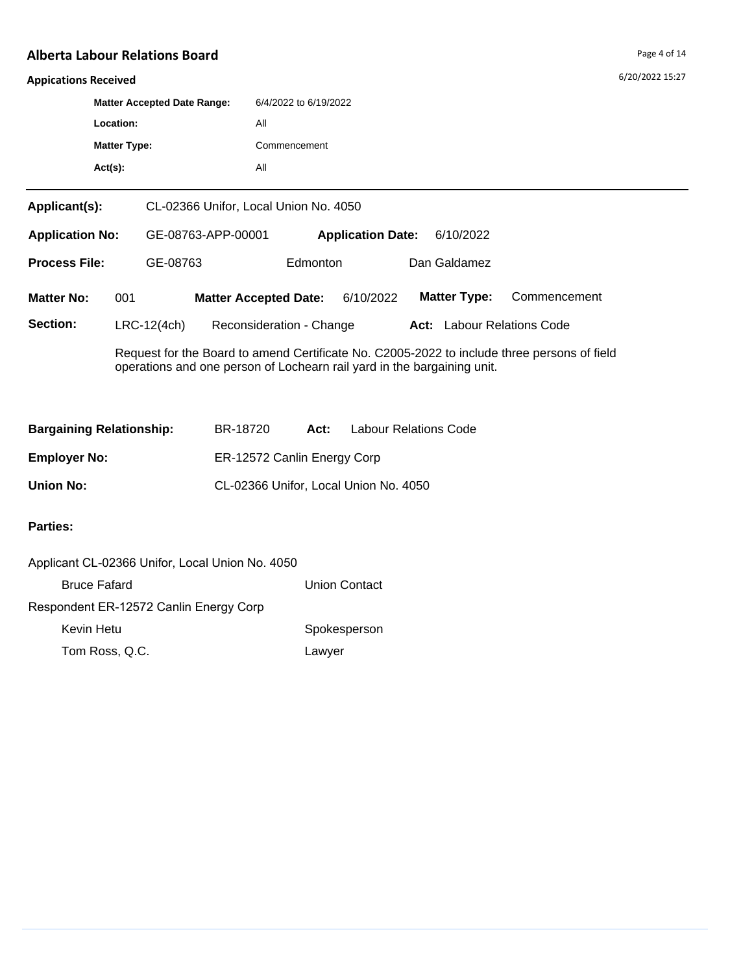6/20/2022 15:27

#### **Appications Received**

| $Act(s)$ :          |                                    | All                   |
|---------------------|------------------------------------|-----------------------|
| <b>Matter Type:</b> |                                    | Commencement          |
| Location:           |                                    | All                   |
|                     | <b>Matter Accepted Date Range:</b> | 6/4/2022 to 6/19/2022 |
|                     |                                    |                       |

| <b>Application No:</b> |     | GE-08763-APP-00001                        |                              |          | <b>Application Date:</b><br>6/10/2022 |  |                     |                            |
|------------------------|-----|-------------------------------------------|------------------------------|----------|---------------------------------------|--|---------------------|----------------------------|
| <b>Process File:</b>   |     | GE-08763                                  |                              | Edmonton |                                       |  | Dan Galdamez        |                            |
| <b>Matter No:</b>      | 001 |                                           | <b>Matter Accepted Date:</b> |          | 6/10/2022                             |  | <b>Matter Type:</b> | Commencement               |
| <b>Section:</b>        |     | $LRC-12(4ch)$<br>Reconsideration - Change |                              |          |                                       |  |                     | Act: Labour Relations Code |

Request for the Board to amend Certificate No. C2005-2022 to include three persons of field operations and one person of Lochearn rail yard in the bargaining unit.

| <b>Bargaining Relationship:</b> | BR-18720                    | Act: | <b>Labour Relations Code</b>          |
|---------------------------------|-----------------------------|------|---------------------------------------|
| <b>Employer No:</b>             | ER-12572 Canlin Energy Corp |      |                                       |
| <b>Union No:</b>                |                             |      | CL-02366 Unifor, Local Union No. 4050 |

| Applicant CL-02366 Unifor, Local Union No. 4050 |                      |
|-------------------------------------------------|----------------------|
| <b>Bruce Fafard</b>                             | <b>Union Contact</b> |
| Respondent ER-12572 Canlin Energy Corp          |                      |
| Kevin Hetu                                      | Spokesperson         |
| Tom Ross, Q.C.                                  | Lawyer               |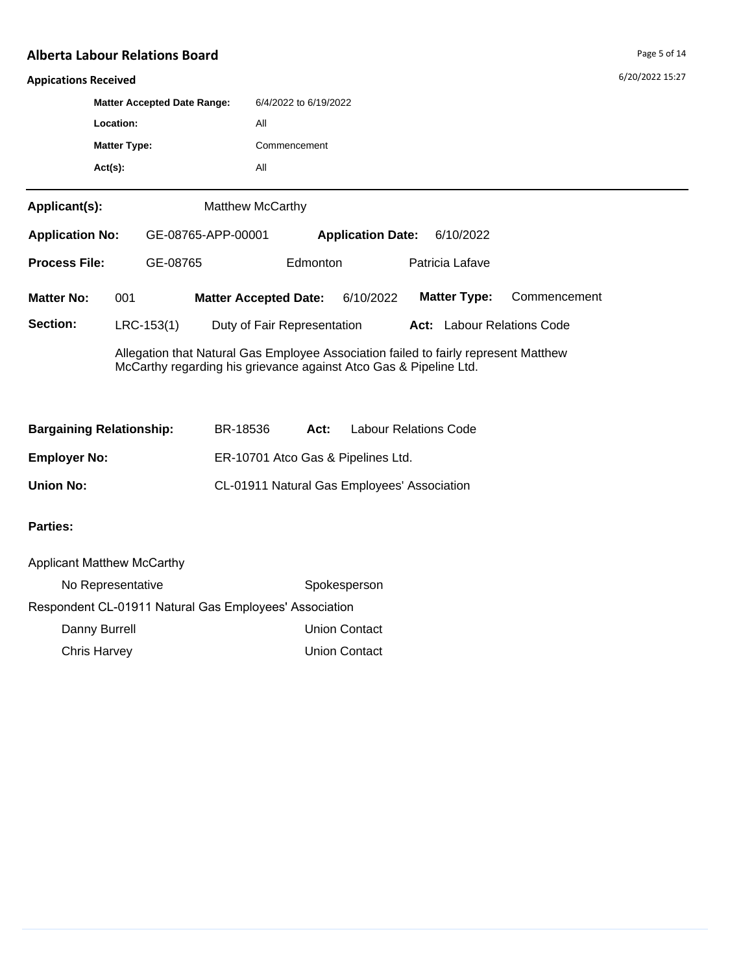6/20/2022 15:27

#### **Appications Received**

|                        | <b>Matter Accepted Date Range:</b> |                    | 6/4/2022 to 6/19/2022   |                          |           |  |  |  |
|------------------------|------------------------------------|--------------------|-------------------------|--------------------------|-----------|--|--|--|
|                        | Location:                          |                    | All                     |                          |           |  |  |  |
| <b>Matter Type:</b>    |                                    | Commencement       |                         |                          |           |  |  |  |
|                        | $Act(s)$ :                         |                    | All                     |                          |           |  |  |  |
| Applicant(s):          |                                    |                    | <b>Matthew McCarthy</b> |                          |           |  |  |  |
| <b>Application No:</b> |                                    | GE-08765-APP-00001 |                         | <b>Application Date:</b> | 6/10/2022 |  |  |  |

| <b>Process File:</b> | GE-08765     | Edmonton                     |           | Patricia Lafave                   |              |
|----------------------|--------------|------------------------------|-----------|-----------------------------------|--------------|
| <b>Matter No:</b>    | 001          | <b>Matter Accepted Date:</b> | 6/10/2022 | <b>Matter Type:</b>               | Commencement |
| Section:             | $LRC-153(1)$ | Duty of Fair Representation  |           | <b>Act:</b> Labour Relations Code |              |

Allegation that Natural Gas Employee Association failed to fairly represent Matthew McCarthy regarding his grievance against Atco Gas & Pipeline Ltd.

| <b>Bargaining Relationship:</b> | BR-18536 | Act: | <b>Labour Relations Code</b>                |
|---------------------------------|----------|------|---------------------------------------------|
| <b>Employer No:</b>             |          |      | ER-10701 Atco Gas & Pipelines Ltd.          |
| Union No:                       |          |      | CL-01911 Natural Gas Employees' Association |

| <b>Applicant Matthew McCarthy</b>                      |                      |  |  |  |
|--------------------------------------------------------|----------------------|--|--|--|
| No Representative                                      | Spokesperson         |  |  |  |
| Respondent CL-01911 Natural Gas Employees' Association |                      |  |  |  |
| Danny Burrell                                          | <b>Union Contact</b> |  |  |  |
| <b>Chris Harvey</b>                                    | <b>Union Contact</b> |  |  |  |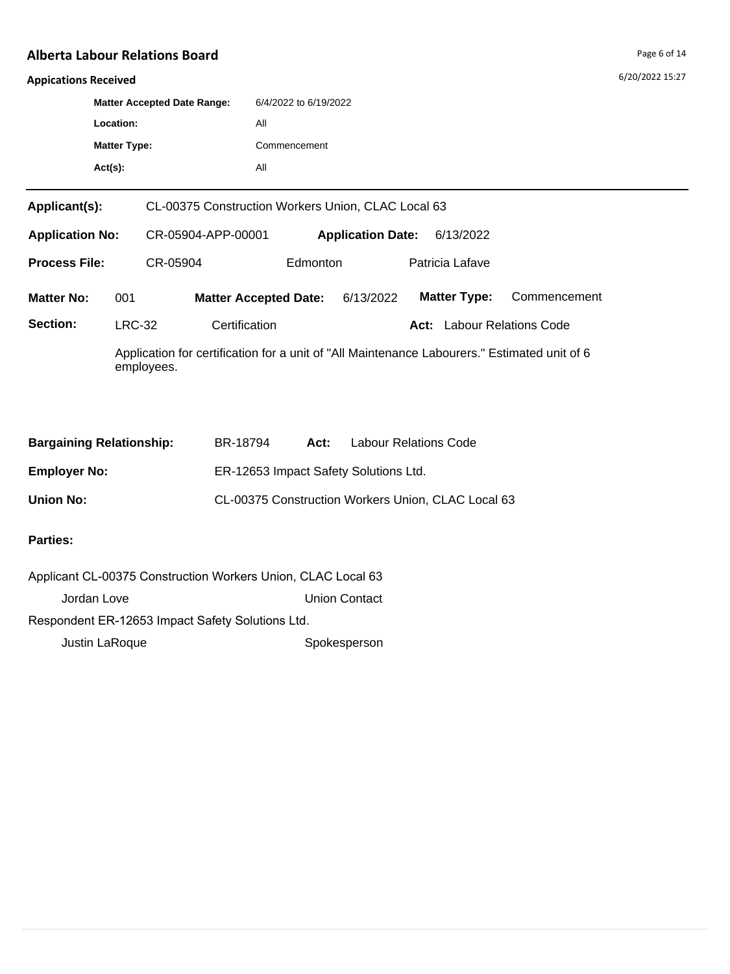## **Appications Received**

|                                                                     | <b>Matter Accepted Date Range:</b><br>Location: |                             |                                                | 6/4/2022 to 6/19/2022<br>All |                 |  |                                   |                                                                                              |  |
|---------------------------------------------------------------------|-------------------------------------------------|-----------------------------|------------------------------------------------|------------------------------|-----------------|--|-----------------------------------|----------------------------------------------------------------------------------------------|--|
| <b>Matter Type:</b>                                                 |                                                 |                             | Commencement                                   |                              |                 |  |                                   |                                                                                              |  |
|                                                                     | $Act(s)$ :                                      |                             |                                                | All                          |                 |  |                                   |                                                                                              |  |
| Applicant(s):<br>CL-00375 Construction Workers Union, CLAC Local 63 |                                                 |                             |                                                |                              |                 |  |                                   |                                                                                              |  |
| <b>Application No:</b>                                              |                                                 |                             | CR-05904-APP-00001<br><b>Application Date:</b> |                              |                 |  | 6/13/2022                         |                                                                                              |  |
| <b>Process File:</b>                                                |                                                 | CR-05904<br><b>Edmonton</b> |                                                |                              | Patricia Lafave |  |                                   |                                                                                              |  |
| <b>Matter No:</b>                                                   | 001                                             |                             |                                                | <b>Matter Accepted Date:</b> | 6/13/2022       |  | <b>Matter Type:</b>               | Commencement                                                                                 |  |
| Section:                                                            |                                                 | <b>LRC-32</b>               | Certification                                  |                              |                 |  | <b>Act:</b> Labour Relations Code |                                                                                              |  |
|                                                                     |                                                 | employees.                  |                                                |                              |                 |  |                                   | Application for certification for a unit of "All Maintenance Labourers." Estimated unit of 6 |  |

| <b>Bargaining Relationship:</b> | BR-18794                              | Act: | <b>Labour Relations Code</b>                       |
|---------------------------------|---------------------------------------|------|----------------------------------------------------|
| <b>Employer No:</b>             | ER-12653 Impact Safety Solutions Ltd. |      |                                                    |
| <b>Union No:</b>                |                                       |      | CL-00375 Construction Workers Union, CLAC Local 63 |

| Applicant CL-00375 Construction Workers Union, CLAC Local 63 |                      |  |  |  |  |
|--------------------------------------------------------------|----------------------|--|--|--|--|
| Jordan Love                                                  | <b>Union Contact</b> |  |  |  |  |
| Respondent ER-12653 Impact Safety Solutions Ltd.             |                      |  |  |  |  |
| Justin LaRoque                                               | Spokesperson         |  |  |  |  |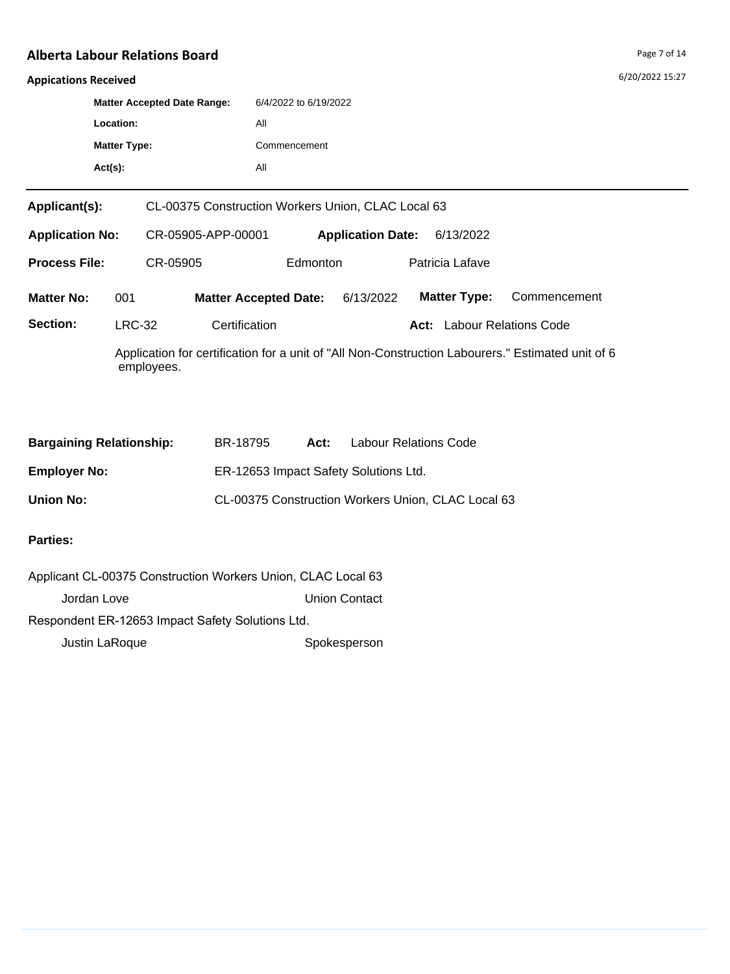## **Appications Received**

|                        |                                | <b>Matter Accepted Date Range:</b>                 | 6/4/2022 to 6/19/2022<br>All                                                                      |                                   |                     |              |  |  |  |  |
|------------------------|--------------------------------|----------------------------------------------------|---------------------------------------------------------------------------------------------------|-----------------------------------|---------------------|--------------|--|--|--|--|
|                        | Location:                      |                                                    |                                                                                                   |                                   |                     |              |  |  |  |  |
|                        | <b>Matter Type:</b>            |                                                    |                                                                                                   | Commencement                      |                     |              |  |  |  |  |
|                        | $Act(s)$ :                     |                                                    | All                                                                                               |                                   |                     |              |  |  |  |  |
| Applicant(s):          |                                | CL-00375 Construction Workers Union, CLAC Local 63 |                                                                                                   |                                   |                     |              |  |  |  |  |
| <b>Application No:</b> |                                | CR-05905-APP-00001<br><b>Application Date:</b>     |                                                                                                   |                                   | 6/13/2022           |              |  |  |  |  |
| <b>Process File:</b>   |                                | CR-05905                                           |                                                                                                   | Edmonton<br>Patricia Lafave       |                     |              |  |  |  |  |
| <b>Matter No:</b>      | 001                            |                                                    | <b>Matter Accepted Date:</b>                                                                      | 6/13/2022                         | <b>Matter Type:</b> | Commencement |  |  |  |  |
| Section:               | <b>LRC-32</b><br>Certification |                                                    |                                                                                                   | <b>Act:</b> Labour Relations Code |                     |              |  |  |  |  |
|                        |                                | employees.                                         | Application for certification for a unit of "All Non-Construction Labourers." Estimated unit of 6 |                                   |                     |              |  |  |  |  |

| <b>Bargaining Relationship:</b> | BR-18795                              | Act: | Labour Relations Code                              |
|---------------------------------|---------------------------------------|------|----------------------------------------------------|
| <b>Employer No:</b>             | ER-12653 Impact Safety Solutions Ltd. |      |                                                    |
| <b>Union No:</b>                |                                       |      | CL-00375 Construction Workers Union, CLAC Local 63 |

| Applicant CL-00375 Construction Workers Union, CLAC Local 63 |                      |  |  |  |  |
|--------------------------------------------------------------|----------------------|--|--|--|--|
| Jordan Love                                                  | <b>Union Contact</b> |  |  |  |  |
| Respondent ER-12653 Impact Safety Solutions Ltd.             |                      |  |  |  |  |
| Justin LaRoque                                               | Spokesperson         |  |  |  |  |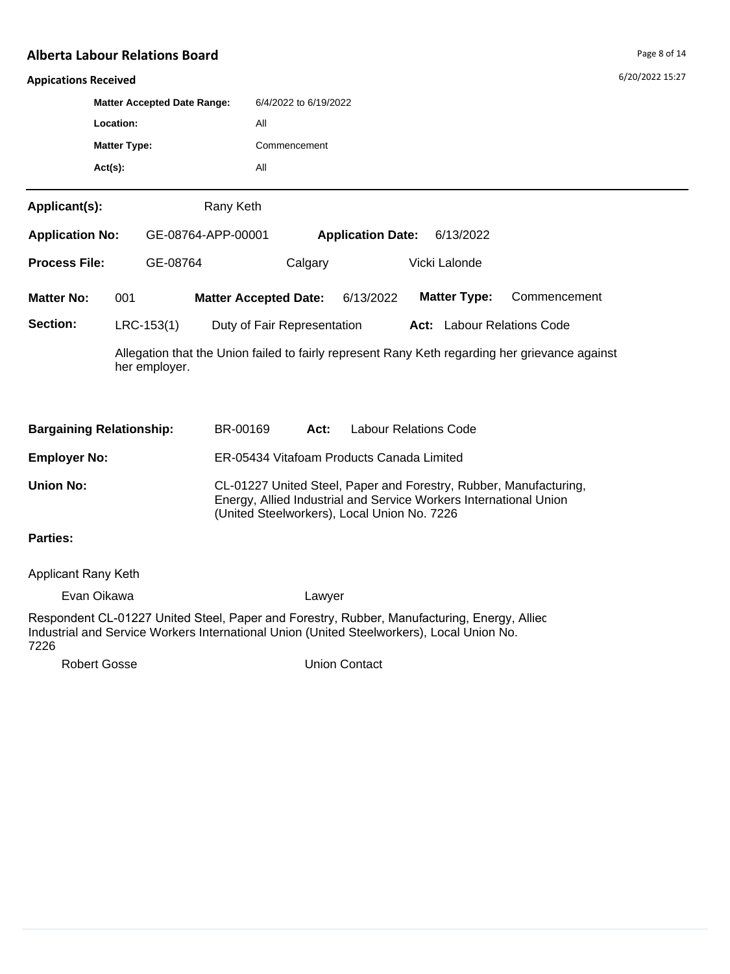#### Ap<sub>l</sub>

| <b>Appications Received</b>     |                                    |               |                    |                                             |                          |  |                                                                   |                                                                                                | 6/20/2022 15:27 |
|---------------------------------|------------------------------------|---------------|--------------------|---------------------------------------------|--------------------------|--|-------------------------------------------------------------------|------------------------------------------------------------------------------------------------|-----------------|
|                                 | <b>Matter Accepted Date Range:</b> |               |                    | 6/4/2022 to 6/19/2022                       |                          |  |                                                                   |                                                                                                |                 |
|                                 | Location:                          |               | All                |                                             |                          |  |                                                                   |                                                                                                |                 |
|                                 | <b>Matter Type:</b>                |               |                    | Commencement                                |                          |  |                                                                   |                                                                                                |                 |
|                                 | $Act(s)$ :                         |               | All                |                                             |                          |  |                                                                   |                                                                                                |                 |
| Applicant(s):                   |                                    |               | Rany Keth          |                                             |                          |  |                                                                   |                                                                                                |                 |
| <b>Application No:</b>          |                                    |               | GE-08764-APP-00001 |                                             | <b>Application Date:</b> |  | 6/13/2022                                                         |                                                                                                |                 |
| <b>Process File:</b>            |                                    | GE-08764      |                    | Calgary                                     |                          |  | Vicki Lalonde                                                     |                                                                                                |                 |
| <b>Matter No:</b>               | 001                                |               |                    | <b>Matter Accepted Date:</b>                | 6/13/2022                |  | <b>Matter Type:</b>                                               | Commencement                                                                                   |                 |
| Section:                        |                                    | $LRC-153(1)$  |                    | Duty of Fair Representation                 |                          |  | <b>Act:</b> Labour Relations Code                                 |                                                                                                |                 |
|                                 |                                    | her employer. |                    |                                             |                          |  |                                                                   | Allegation that the Union failed to fairly represent Rany Keth regarding her grievance against |                 |
| <b>Bargaining Relationship:</b> |                                    | BR-00169      | Act:               | <b>Labour Relations Code</b>                |                          |  |                                                                   |                                                                                                |                 |
| <b>Employer No:</b>             |                                    |               |                    | ER-05434 Vitafoam Products Canada Limited   |                          |  |                                                                   |                                                                                                |                 |
| <b>Union No:</b>                |                                    |               |                    | (United Steelworkers), Local Union No. 7226 |                          |  | Energy, Allied Industrial and Service Workers International Union | CL-01227 United Steel, Paper and Forestry, Rubber, Manufacturing,                              |                 |
| <b>Parties:</b>                 |                                    |               |                    |                                             |                          |  |                                                                   |                                                                                                |                 |

## Applicant Rany Keth

Evan Oikawa Lawyer

Respondent CL-01227 United Steel, Paper and Forestry, Rubber, Manufacturing, Energy, Allied Industrial and Service Workers International Union (United Steelworkers), Local Union No. 7226

Robert Gosse **Union Contact**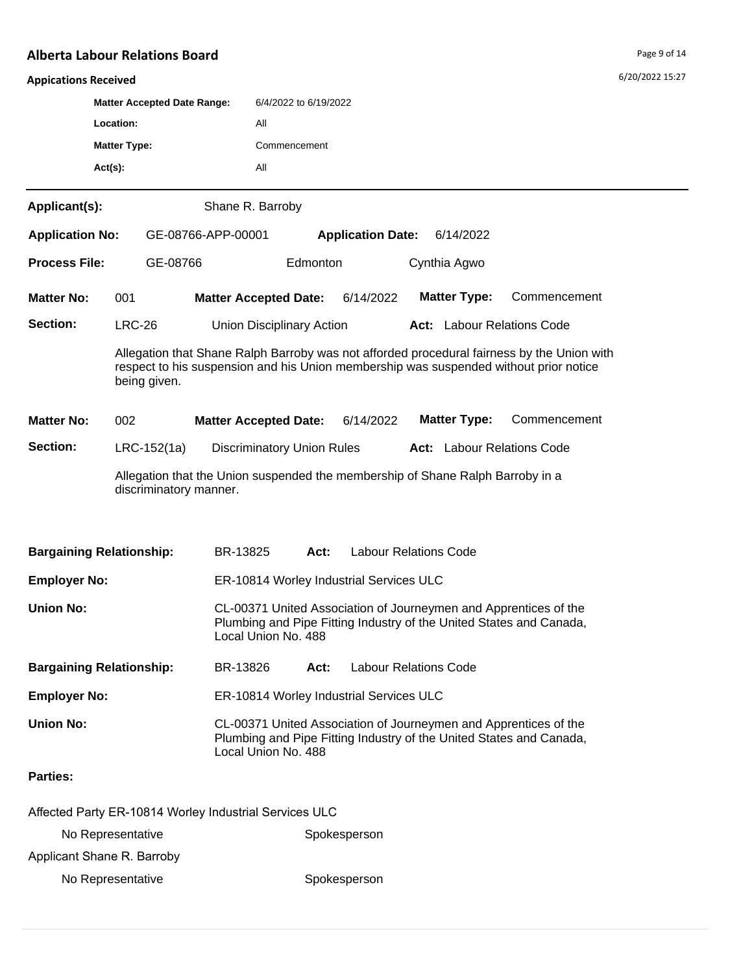| <b>Appications Received</b>                                                                                                                                                                         |                     |                                                                                                          |                                                                                                                                                                |                                      |                              |  |                                   |  |              |  | 6/20/2022 15:27 |
|-----------------------------------------------------------------------------------------------------------------------------------------------------------------------------------------------------|---------------------|----------------------------------------------------------------------------------------------------------|----------------------------------------------------------------------------------------------------------------------------------------------------------------|--------------------------------------|------------------------------|--|-----------------------------------|--|--------------|--|-----------------|
| <b>Matter Accepted Date Range:</b><br>Location:                                                                                                                                                     |                     |                                                                                                          | 6/4/2022 to 6/19/2022                                                                                                                                          |                                      |                              |  |                                   |  |              |  |                 |
|                                                                                                                                                                                                     |                     |                                                                                                          | All                                                                                                                                                            |                                      |                              |  |                                   |  |              |  |                 |
|                                                                                                                                                                                                     | <b>Matter Type:</b> |                                                                                                          | Commencement                                                                                                                                                   |                                      |                              |  |                                   |  |              |  |                 |
|                                                                                                                                                                                                     | $Act(s)$ :          |                                                                                                          | All                                                                                                                                                            |                                      |                              |  |                                   |  |              |  |                 |
| Applicant(s):                                                                                                                                                                                       |                     |                                                                                                          | Shane R. Barroby                                                                                                                                               |                                      |                              |  |                                   |  |              |  |                 |
| <b>Application No:</b>                                                                                                                                                                              |                     | GE-08766-APP-00001                                                                                       |                                                                                                                                                                |                                      | <b>Application Date:</b>     |  | 6/14/2022                         |  |              |  |                 |
| <b>Process File:</b>                                                                                                                                                                                |                     | GE-08766                                                                                                 |                                                                                                                                                                | Edmonton                             |                              |  | Cynthia Agwo                      |  |              |  |                 |
| <b>Matter No:</b>                                                                                                                                                                                   | 001                 |                                                                                                          | <b>Matter Accepted Date:</b>                                                                                                                                   |                                      | 6/14/2022                    |  | <b>Matter Type:</b>               |  | Commencement |  |                 |
| Section:                                                                                                                                                                                            | <b>LRC-26</b>       |                                                                                                          | <b>Union Disciplinary Action</b>                                                                                                                               |                                      |                              |  | Act: Labour Relations Code        |  |              |  |                 |
| Allegation that Shane Ralph Barroby was not afforded procedural fairness by the Union with<br>respect to his suspension and his Union membership was suspended without prior notice<br>being given. |                     |                                                                                                          |                                                                                                                                                                |                                      |                              |  |                                   |  |              |  |                 |
| <b>Matter No:</b>                                                                                                                                                                                   | 002                 |                                                                                                          | <b>Matter Accepted Date:</b>                                                                                                                                   |                                      | 6/14/2022                    |  | <b>Matter Type:</b>               |  | Commencement |  |                 |
| Section:                                                                                                                                                                                            |                     | $LRC-152(1a)$                                                                                            | <b>Discriminatory Union Rules</b>                                                                                                                              |                                      |                              |  | <b>Act:</b> Labour Relations Code |  |              |  |                 |
|                                                                                                                                                                                                     |                     | Allegation that the Union suspended the membership of Shane Ralph Barroby in a<br>discriminatory manner. |                                                                                                                                                                |                                      |                              |  |                                   |  |              |  |                 |
| <b>Bargaining Relationship:</b>                                                                                                                                                                     |                     |                                                                                                          | BR-13825                                                                                                                                                       | Act:                                 | <b>Labour Relations Code</b> |  |                                   |  |              |  |                 |
| <b>Employer No:</b>                                                                                                                                                                                 |                     |                                                                                                          | ER-10814 Worley Industrial Services ULC                                                                                                                        |                                      |                              |  |                                   |  |              |  |                 |
| <b>Union No:</b>                                                                                                                                                                                    |                     |                                                                                                          | CL-00371 United Association of Journeymen and Apprentices of the<br>Plumbing and Pipe Fitting Industry of the United States and Canada,<br>Local Union No. 488 |                                      |                              |  |                                   |  |              |  |                 |
| <b>Bargaining Relationship:</b>                                                                                                                                                                     |                     |                                                                                                          | BR-13826                                                                                                                                                       | <b>Labour Relations Code</b><br>Act: |                              |  |                                   |  |              |  |                 |
| <b>Employer No:</b>                                                                                                                                                                                 |                     |                                                                                                          | ER-10814 Worley Industrial Services ULC                                                                                                                        |                                      |                              |  |                                   |  |              |  |                 |
| <b>Union No:</b>                                                                                                                                                                                    |                     |                                                                                                          | CL-00371 United Association of Journeymen and Apprentices of the<br>Plumbing and Pipe Fitting Industry of the United States and Canada,<br>Local Union No. 488 |                                      |                              |  |                                   |  |              |  |                 |
| <b>Parties:</b>                                                                                                                                                                                     |                     |                                                                                                          |                                                                                                                                                                |                                      |                              |  |                                   |  |              |  |                 |
|                                                                                                                                                                                                     |                     | Affected Party ER-10814 Worley Industrial Services ULC                                                   |                                                                                                                                                                |                                      |                              |  |                                   |  |              |  |                 |
|                                                                                                                                                                                                     | No Representative   |                                                                                                          |                                                                                                                                                                | Spokesperson                         |                              |  |                                   |  |              |  |                 |
| Applicant Shane R. Barroby                                                                                                                                                                          |                     |                                                                                                          |                                                                                                                                                                |                                      |                              |  |                                   |  |              |  |                 |

No Representative Spokesperson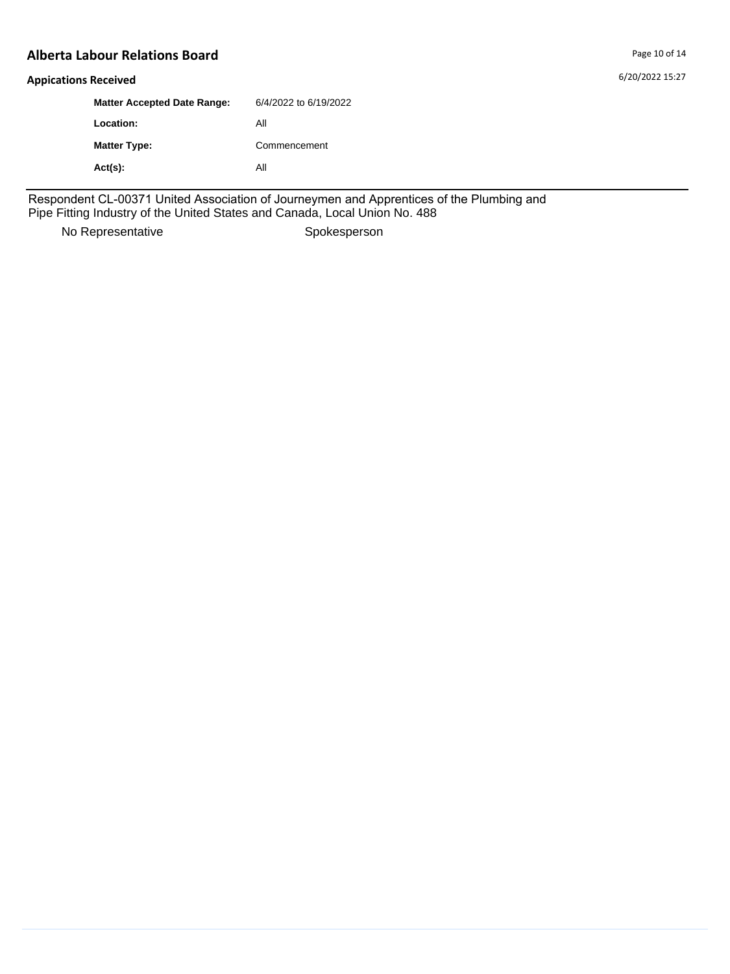6/20/2022 15:27

#### **Appications Received**

| <b>Matter Accepted Date Range:</b> | 6/4/2022 to 6/19/2022 |
|------------------------------------|-----------------------|
| Location:                          | Αll                   |
| <b>Matter Type:</b>                | Commencement          |
| $Act(s)$ :                         | Αll                   |

Respondent CL-00371 United Association of Journeymen and Apprentices of the Plumbing and Pipe Fitting Industry of the United States and Canada, Local Union No. 488

No Representative Spokesperson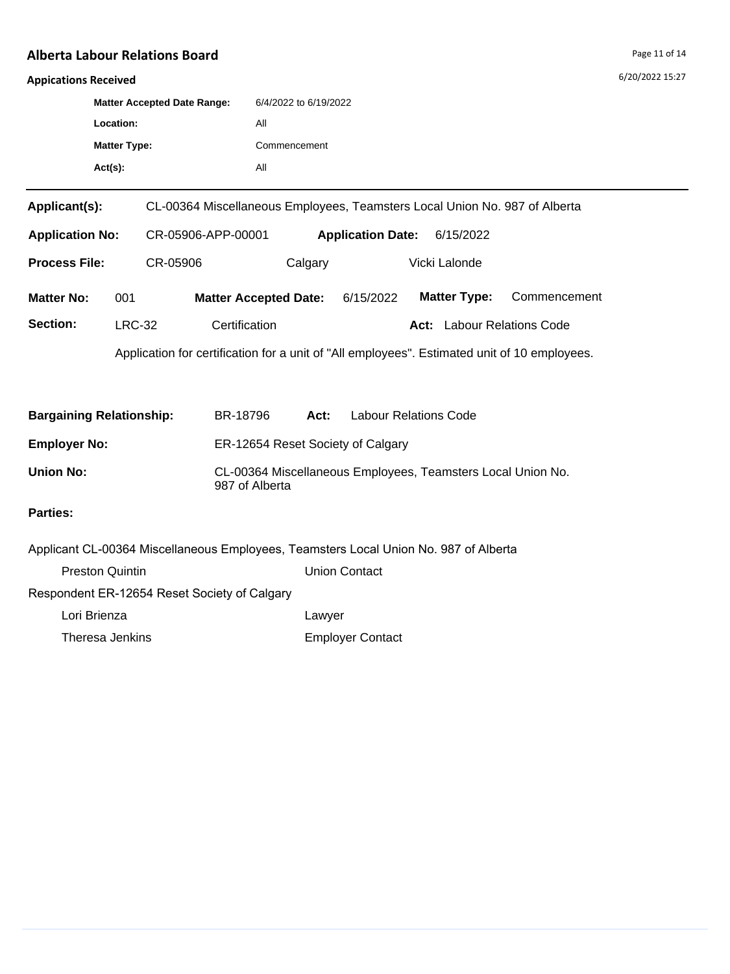## **Appications Received**

| <b>Matter Accepted Date Range:</b> | 6/4/2022 to 6/19/2022 |
|------------------------------------|-----------------------|
| Location:                          | All                   |
| <b>Matter Type:</b>                | Commencement          |
| $Act(s)$ :                         | Αll                   |

| Applicant(s):          |                                                                                              | CL-00364 Miscellaneous Employees, Teamsters Local Union No. 987 of Alberta |                                       |               |      |                       |              |  |
|------------------------|----------------------------------------------------------------------------------------------|----------------------------------------------------------------------------|---------------------------------------|---------------|------|-----------------------|--------------|--|
| <b>Application No:</b> |                                                                                              | CR-05906-APP-00001                                                         | <b>Application Date:</b><br>6/15/2022 |               |      |                       |              |  |
| <b>Process File:</b>   |                                                                                              | CR-05906<br>Calgary                                                        |                                       | Vicki Lalonde |      |                       |              |  |
| <b>Matter No:</b>      | 001                                                                                          | <b>Matter Accepted Date:</b>                                               |                                       | 6/15/2022     |      | <b>Matter Type:</b>   | Commencement |  |
| Section:               | <b>LRC-32</b>                                                                                | Certification                                                              |                                       |               | Act: | Labour Relations Code |              |  |
|                        | Application for certification for a unit of "All employees". Estimated unit of 10 employees. |                                                                            |                                       |               |      |                       |              |  |

| <b>Bargaining Relationship:</b> | BR-18796                                                                      | Act: | <b>Labour Relations Code</b> |  |  |  |
|---------------------------------|-------------------------------------------------------------------------------|------|------------------------------|--|--|--|
| <b>Employer No:</b>             | ER-12654 Reset Society of Calgary                                             |      |                              |  |  |  |
| Union No:                       | CL-00364 Miscellaneous Employees, Teamsters Local Union No.<br>987 of Alberta |      |                              |  |  |  |

| Applicant CL-00364 Miscellaneous Employees, Teamsters Local Union No. 987 of Alberta |                         |
|--------------------------------------------------------------------------------------|-------------------------|
| <b>Preston Quintin</b>                                                               | Union Contact           |
| Respondent ER-12654 Reset Society of Calgary                                         |                         |
| Lori Brienza                                                                         | Lawyer                  |
| Theresa Jenkins                                                                      | <b>Employer Contact</b> |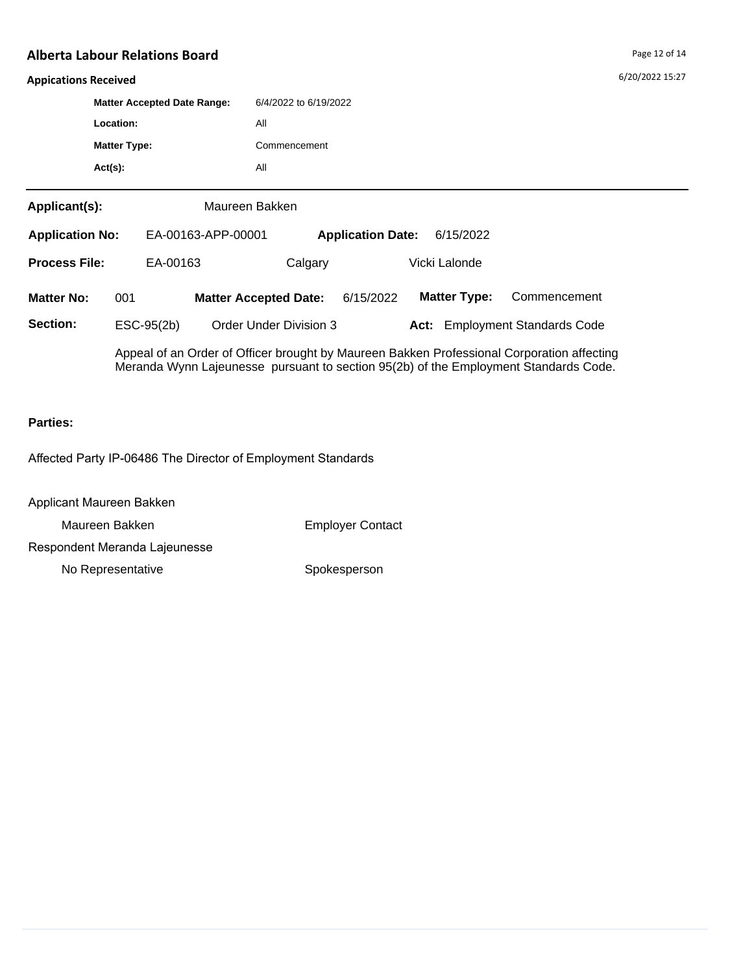#### **Appications Received**

|                                  |            | <b>Matter Accepted Date Range:</b> |              | 6/4/2022 to 6/19/2022        |                          |  |                     |                                                                                            |  |
|----------------------------------|------------|------------------------------------|--------------|------------------------------|--------------------------|--|---------------------|--------------------------------------------------------------------------------------------|--|
| Location:<br><b>Matter Type:</b> |            |                                    | All          |                              |                          |  |                     |                                                                                            |  |
|                                  |            |                                    | Commencement |                              |                          |  |                     |                                                                                            |  |
|                                  | $Act(s)$ : |                                    |              | All                          |                          |  |                     |                                                                                            |  |
| Applicant(s):                    |            |                                    |              | Maureen Bakken               |                          |  |                     |                                                                                            |  |
| <b>Application No:</b>           |            | EA-00163-APP-00001                 |              |                              | <b>Application Date:</b> |  | 6/15/2022           |                                                                                            |  |
| <b>Process File:</b>             |            | EA-00163                           |              | Calgary                      |                          |  | Vicki Lalonde       |                                                                                            |  |
| <b>Matter No:</b>                | 001        |                                    |              | <b>Matter Accepted Date:</b> | 6/15/2022                |  | <b>Matter Type:</b> | Commencement                                                                               |  |
| Section:                         |            | ESC-95(2b)                         |              | Order Under Division 3       |                          |  |                     | Act: Employment Standards Code                                                             |  |
|                                  |            |                                    |              |                              |                          |  |                     | Anneal of an Order of Officer brought by Maurean Bakken Professional Corporation affecting |  |

Appeal of an Order of Officer brought by Maureen Bakken Professional Corporation affecting Meranda Wynn Lajeunesse pursuant to section 95(2b) of the Employment Standards Code.

#### **Parties:**

Affected Party IP-06486 The Director of Employment Standards

Applicant Maureen Bakken

Maureen Bakken **Employer Contact** 

Respondent Meranda Lajeunesse

No Representative Spokesperson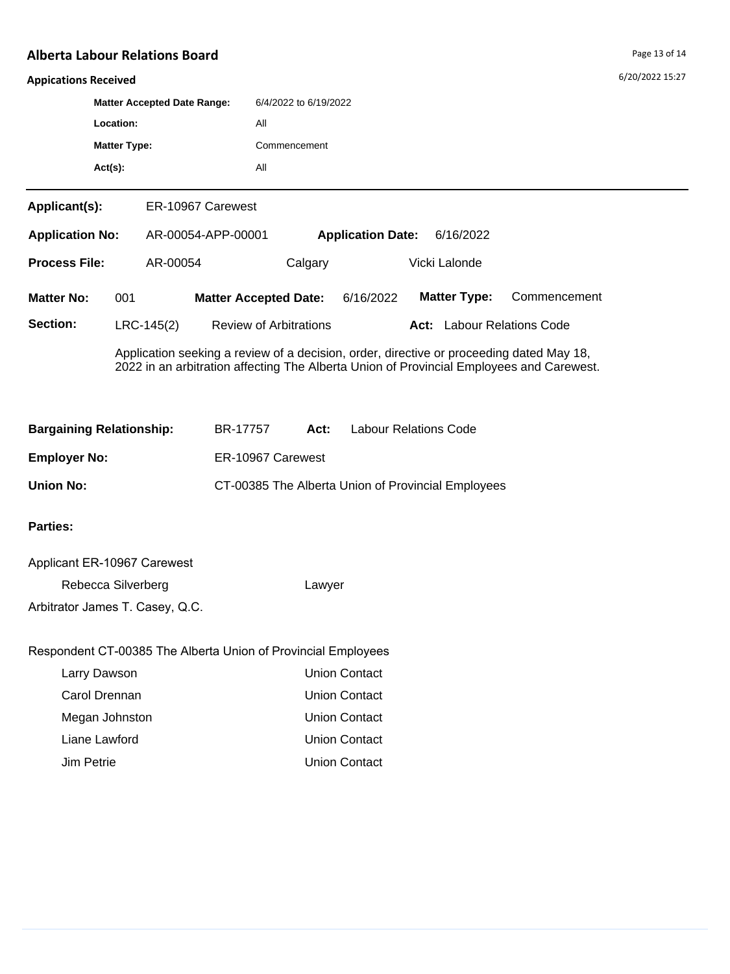#### **Appications Received**

| <b>Matter Accepted Date Range:</b> | 6/4/2022 to 6/19/2022 |
|------------------------------------|-----------------------|
| Location:                          | All                   |
| <b>Matter Type:</b>                | Commencement          |
| $Act(s)$ :                         | All                   |

**Applicant(s):** ER-10967 Carewest

| <b>Application Date:</b><br><b>Application No:</b><br>AR-00054-APP-00001 |     |              |                               | 6/16/2022 |                                   |              |
|--------------------------------------------------------------------------|-----|--------------|-------------------------------|-----------|-----------------------------------|--------------|
| <b>Process File:</b>                                                     |     | AR-00054     | Calgary                       |           | Vicki Lalonde                     |              |
| <b>Matter No:</b>                                                        | 001 |              | <b>Matter Accepted Date:</b>  | 6/16/2022 | <b>Matter Type:</b>               | Commencement |
| Section:                                                                 |     | $LRC-145(2)$ | <b>Review of Arbitrations</b> |           | <b>Act:</b> Labour Relations Code |              |

Application seeking a review of a decision, order, directive or proceeding dated May 18, 2022 in an arbitration affecting The Alberta Union of Provincial Employees and Carewest.

| <b>Bargaining Relationship:</b> | BR-17757          | Act: | <b>Labour Relations Code</b>                       |
|---------------------------------|-------------------|------|----------------------------------------------------|
| <b>Employer No:</b>             | ER-10967 Carewest |      |                                                    |
| Union No:                       |                   |      | CT-00385 The Alberta Union of Provincial Employees |

## **Parties:**

| Applicant ER-10967 Carewest     |        |
|---------------------------------|--------|
| Rebecca Silverberg              | Lawyer |
| Arbitrator James T. Casey, Q.C. |        |

# Respondent CT-00385 The Alberta Union of Provincial Employees

| Larry Dawson   | Union Contact        |
|----------------|----------------------|
| Carol Drennan  | Union Contact        |
| Megan Johnston | <b>Union Contact</b> |
| Liane Lawford  | Union Contact        |
| Jim Petrie     | Union Contact        |